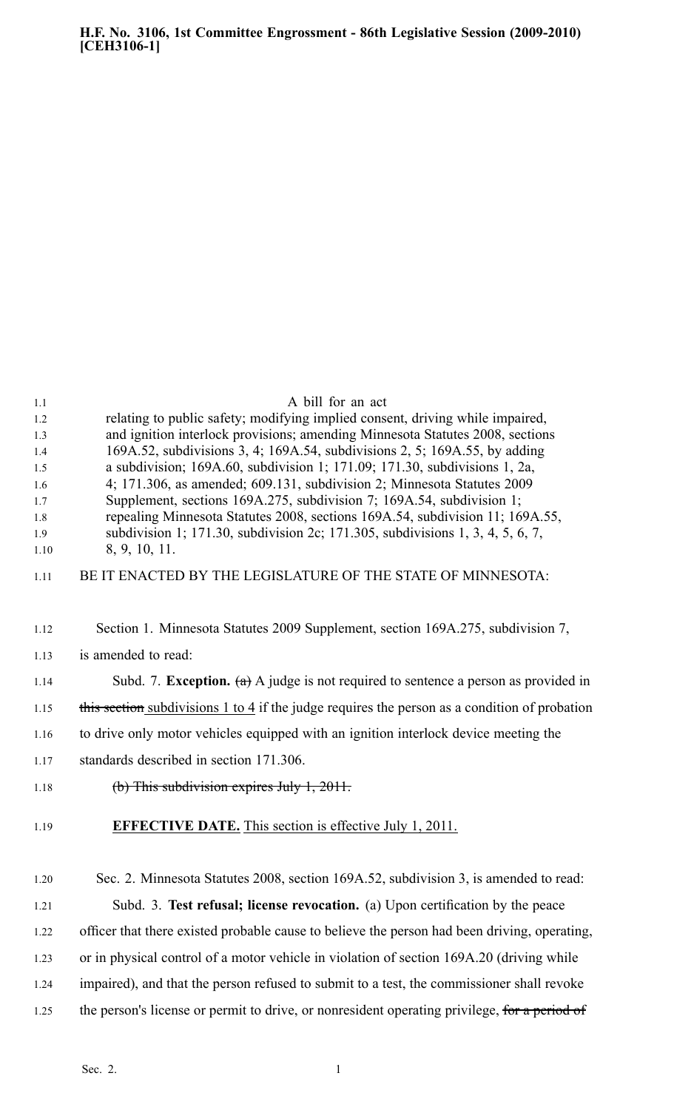| 1.1<br>1.2<br>1.3<br>1.4<br>1.5<br>1.6<br>1.7<br>1.8<br>1.9<br>1.10<br>1.11 | A bill for an act<br>relating to public safety; modifying implied consent, driving while impaired,<br>and ignition interlock provisions; amending Minnesota Statutes 2008, sections<br>169A.52, subdivisions 3, 4; 169A.54, subdivisions 2, 5; 169A.55, by adding<br>a subdivision; $169A.60$ , subdivision 1; $171.09$ ; $171.30$ , subdivisions 1, $2a$ ,<br>4; 171.306, as amended; 609.131, subdivision 2; Minnesota Statutes 2009<br>Supplement, sections 169A.275, subdivision 7; 169A.54, subdivision 1;<br>repealing Minnesota Statutes 2008, sections 169A.54, subdivision 11; 169A.55,<br>subdivision 1; 171.30, subdivision 2c; 171.305, subdivisions 1, 3, 4, 5, 6, 7,<br>8, 9, 10, 11.<br>BE IT ENACTED BY THE LEGISLATURE OF THE STATE OF MINNESOTA: |
|-----------------------------------------------------------------------------|--------------------------------------------------------------------------------------------------------------------------------------------------------------------------------------------------------------------------------------------------------------------------------------------------------------------------------------------------------------------------------------------------------------------------------------------------------------------------------------------------------------------------------------------------------------------------------------------------------------------------------------------------------------------------------------------------------------------------------------------------------------------|
| 1.12                                                                        | Section 1. Minnesota Statutes 2009 Supplement, section 169A.275, subdivision 7,                                                                                                                                                                                                                                                                                                                                                                                                                                                                                                                                                                                                                                                                                    |
| 1.13                                                                        | is amended to read:                                                                                                                                                                                                                                                                                                                                                                                                                                                                                                                                                                                                                                                                                                                                                |
| 1.14                                                                        | Subd. 7. <b>Exception.</b> (a) A judge is not required to sentence a person as provided in                                                                                                                                                                                                                                                                                                                                                                                                                                                                                                                                                                                                                                                                         |
| 1.15                                                                        | this section subdivisions 1 to 4 if the judge requires the person as a condition of probation                                                                                                                                                                                                                                                                                                                                                                                                                                                                                                                                                                                                                                                                      |
| 1.16                                                                        | to drive only motor vehicles equipped with an ignition interlock device meeting the                                                                                                                                                                                                                                                                                                                                                                                                                                                                                                                                                                                                                                                                                |
| 1.17                                                                        | standards described in section 171.306.                                                                                                                                                                                                                                                                                                                                                                                                                                                                                                                                                                                                                                                                                                                            |
| 1.18                                                                        | $(b)$ This subdivision expires July 1, 2011.                                                                                                                                                                                                                                                                                                                                                                                                                                                                                                                                                                                                                                                                                                                       |
| 1.19                                                                        | <b>EFFECTIVE DATE.</b> This section is effective July 1, 2011.                                                                                                                                                                                                                                                                                                                                                                                                                                                                                                                                                                                                                                                                                                     |
| 1.20                                                                        | Sec. 2. Minnesota Statutes 2008, section 169A.52, subdivision 3, is amended to read:                                                                                                                                                                                                                                                                                                                                                                                                                                                                                                                                                                                                                                                                               |
| 1.21                                                                        | Subd. 3. Test refusal; license revocation. (a) Upon certification by the peace                                                                                                                                                                                                                                                                                                                                                                                                                                                                                                                                                                                                                                                                                     |
| 1.22                                                                        | officer that there existed probable cause to believe the person had been driving, operating,                                                                                                                                                                                                                                                                                                                                                                                                                                                                                                                                                                                                                                                                       |
| 1.23                                                                        | or in physical control of a motor vehicle in violation of section 169A.20 (driving while                                                                                                                                                                                                                                                                                                                                                                                                                                                                                                                                                                                                                                                                           |
| 1.24                                                                        | impaired), and that the person refused to submit to a test, the commissioner shall revoke                                                                                                                                                                                                                                                                                                                                                                                                                                                                                                                                                                                                                                                                          |
| 1.25                                                                        | the person's license or permit to drive, or nonresident operating privilege, for a period of                                                                                                                                                                                                                                                                                                                                                                                                                                                                                                                                                                                                                                                                       |
|                                                                             |                                                                                                                                                                                                                                                                                                                                                                                                                                                                                                                                                                                                                                                                                                                                                                    |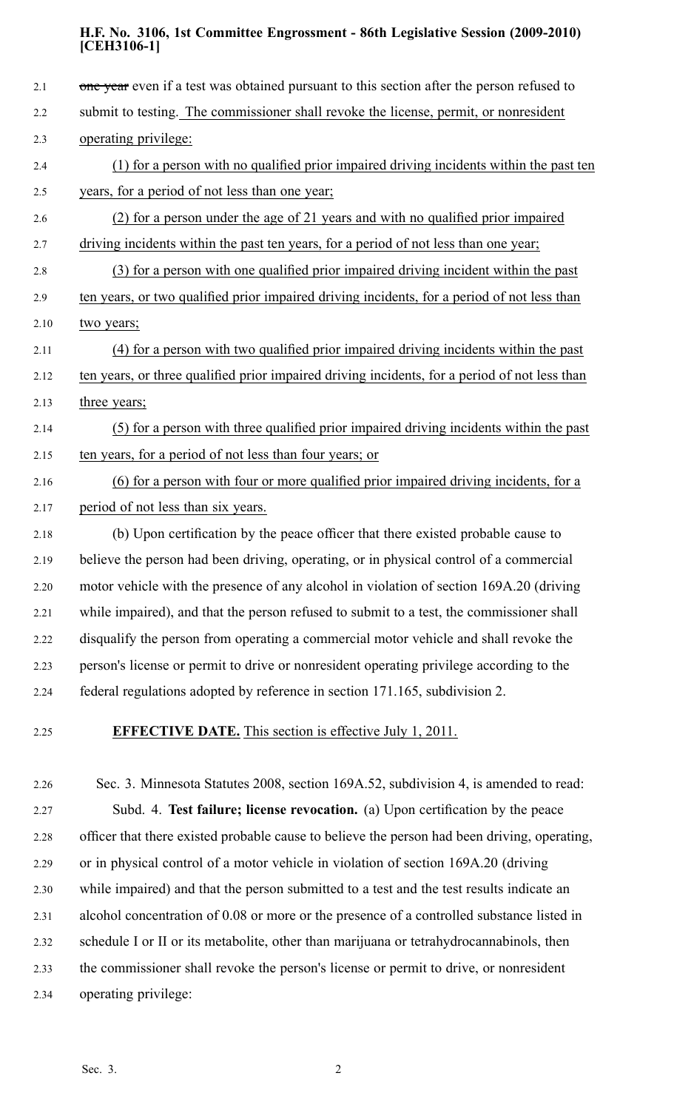| 2.1  | one year even if a test was obtained pursuant to this section after the person refused to     |
|------|-----------------------------------------------------------------------------------------------|
| 2.2  | submit to testing. The commissioner shall revoke the license, permit, or nonresident          |
| 2.3  | operating privilege:                                                                          |
| 2.4  | (1) for a person with no qualified prior impaired driving incidents within the past ten       |
| 2.5  | years, for a period of not less than one year;                                                |
| 2.6  | (2) for a person under the age of 21 years and with no qualified prior impaired               |
| 2.7  | driving incidents within the past ten years, for a period of not less than one year;          |
| 2.8  | (3) for a person with one qualified prior impaired driving incident within the past           |
| 2.9  | ten years, or two qualified prior impaired driving incidents, for a period of not less than   |
| 2.10 | two years;                                                                                    |
| 2.11 | (4) for a person with two qualified prior impaired driving incidents within the past          |
| 2.12 | ten years, or three qualified prior impaired driving incidents, for a period of not less than |
| 2.13 | three years;                                                                                  |
| 2.14 | (5) for a person with three qualified prior impaired driving incidents within the past        |
| 2.15 | ten years, for a period of not less than four years; or                                       |
| 2.16 | (6) for a person with four or more qualified prior impaired driving incidents, for a          |
| 2.17 | period of not less than six years.                                                            |
| 2.18 | (b) Upon certification by the peace officer that there existed probable cause to              |
| 2.19 | believe the person had been driving, operating, or in physical control of a commercial        |
| 2.20 | motor vehicle with the presence of any alcohol in violation of section 169A.20 (driving       |
| 2.21 | while impaired), and that the person refused to submit to a test, the commissioner shall      |
| 2.22 | disqualify the person from operating a commercial motor vehicle and shall revoke the          |
| 2.23 | person's license or permit to drive or nonresident operating privilege according to the       |
| 2.24 | federal regulations adopted by reference in section 171.165, subdivision 2.                   |
|      |                                                                                               |

## 2.25 **EFFECTIVE DATE.** This section is effective July 1, 2011.

2.26 Sec. 3. Minnesota Statutes 2008, section 169A.52, subdivision 4, is amended to read: 2.27 Subd. 4. **Test failure; license revocation.** (a) Upon certification by the peace 2.28 officer that there existed probable cause to believe the person had been driving, operating, 2.29 or in physical control of <sup>a</sup> motor vehicle in violation of section 169A.20 (driving 2.30 while impaired) and that the person submitted to <sup>a</sup> test and the test results indicate an 2.31 alcohol concentration of 0.08 or more or the presence of <sup>a</sup> controlled substance listed in 2.32 schedule I or II or its metabolite, other than marijuana or tetrahydrocannabinols, then 2.33 the commissioner shall revoke the person's license or permit to drive, or nonresident 2.34 operating privilege: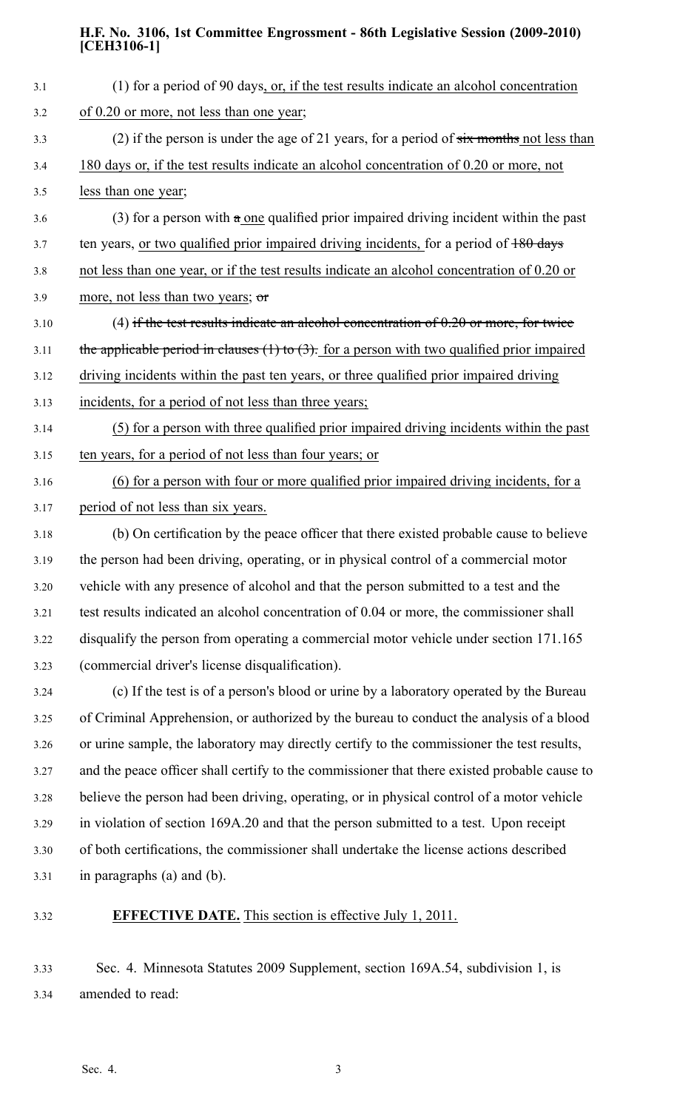| 3.1   | (1) for a period of 90 days, or, if the test results indicate an alcohol concentration           |
|-------|--------------------------------------------------------------------------------------------------|
| $3.2$ | of 0.20 or more, not less than one year;                                                         |
| 3.3   | (2) if the person is under the age of 21 years, for a period of $six$ months not less than       |
| 3.4   | 180 days or, if the test results indicate an alcohol concentration of 0.20 or more, not          |
| 3.5   | less than one year;                                                                              |
| 3.6   | (3) for a person with $\alpha$ one qualified prior impaired driving incident within the past     |
| 3.7   | ten years, or two qualified prior impaired driving incidents, for a period of 180 days           |
| 3.8   | not less than one year, or if the test results indicate an alcohol concentration of 0.20 or      |
| 3.9   | more, not less than two years; or                                                                |
| 3.10  | (4) if the test results indicate an alcohol concentration of $0.20$ or more, for twice           |
| 3.11  | the applicable period in clauses $(1)$ to $(3)$ . for a person with two qualified prior impaired |
| 3.12  | driving incidents within the past ten years, or three qualified prior impaired driving           |
| 3.13  | incidents, for a period of not less than three years;                                            |
| 3.14  | (5) for a person with three qualified prior impaired driving incidents within the past           |
| 3.15  | ten years, for a period of not less than four years; or                                          |
| 3.16  | (6) for a person with four or more qualified prior impaired driving incidents, for a             |
| 3.17  | period of not less than six years.                                                               |
| 3.18  | (b) On certification by the peace officer that there existed probable cause to believe           |
| 3.19  | the person had been driving, operating, or in physical control of a commercial motor             |
| 3.20  | vehicle with any presence of alcohol and that the person submitted to a test and the             |
| 3.21  | test results indicated an alcohol concentration of 0.04 or more, the commissioner shall          |
| 3.22  | disqualify the person from operating a commercial motor vehicle under section 171.165            |
| 3.23  | (commercial driver's license disqualification).                                                  |
| 3.24  | (c) If the test is of a person's blood or urine by a laboratory operated by the Bureau           |
| 3.25  | of Criminal Apprehension, or authorized by the bureau to conduct the analysis of a blood         |
| 3.26  | or urine sample, the laboratory may directly certify to the commissioner the test results,       |
| 3.27  | and the peace officer shall certify to the commissioner that there existed probable cause to     |
| 3.28  | believe the person had been driving, operating, or in physical control of a motor vehicle        |
| 3.29  | in violation of section 169A.20 and that the person submitted to a test. Upon receipt            |
| 3.30  | of both certifications, the commissioner shall undertake the license actions described           |
| 3.31  | in paragraphs (a) and (b).                                                                       |
| 3.32  | <b>EFFECTIVE DATE.</b> This section is effective July 1, 2011.                                   |

3.33 Sec. 4. Minnesota Statutes 2009 Supplement, section 169A.54, subdivision 1, is 3.34 amended to read: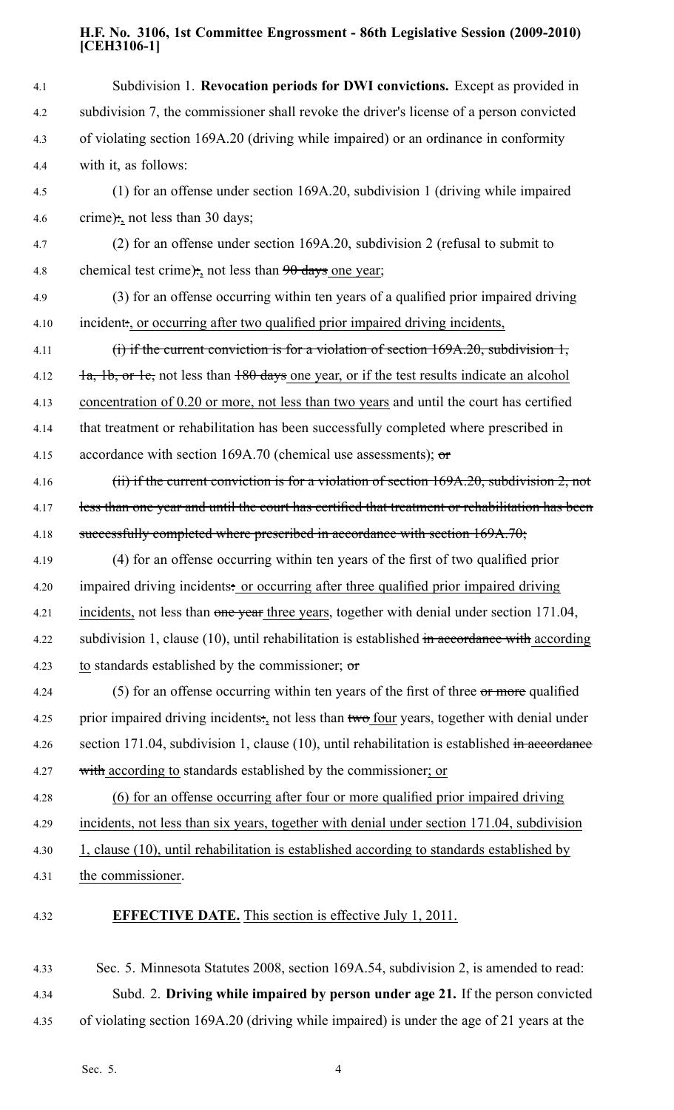4.1 Subdivision 1. **Revocation periods for DWI convictions.** Except as provided in 4.2 subdivision 7, the commissioner shall revoke the driver's license of <sup>a</sup> person convicted 4.3 of violating section 169A.20 (driving while impaired) or an ordinance in conformity 4.4 with it, as follows: 4.5 (1) for an offense under section 169A.20, subdivision 1 (driving while impaired 4.6 crime): not less than 30 days; 4.7 (2) for an offense under section 169A.20, subdivision 2 (refusal to submit to 4.8 chemical test crime):, not less than  $90$  days one year; 4.9 (3) for an offense occurring within ten years of <sup>a</sup> qualified prior impaired driving 4.10 incident:, or occurring after two qualified prior impaired driving incidents, 4.11 (i) if the current conviction is for a violation of section 169A.20, subdivision 1, 4.12  $\frac{1}{a}$ ,  $\frac{1}{b}$ , or 1c, not less than  $\frac{180}{2}$  days one year, or if the test results indicate an alcohol 4.13 concentration of 0.20 or more, not less than two years and until the court has certified 4.14 that treatment or rehabilitation has been successfully completed where prescribed in 4.15 accordance with section 169A.70 (chemical use assessments);  $\sigma$ 4.16 (ii) if the current conviction is for a violation of section 169A.20, subdivision 2, not 4.17 less than one year and until the court has certified that treatment or rehabilitation has been 4.18 successfully completed where prescribed in accordance with section 169A.70; 4.19 (4) for an offense occurring within ten years of the first of two qualified prior 4.20 impaired driving incidents: or occurring after three qualified prior impaired driving 4.21 incidents, not less than one year three years, together with denial under section 171.04, 4.22 subdivision 1, clause (10), until rehabilitation is established in accordance with according 4.23 to standards established by the commissioner;  $\sigma$ 4.24 (5) for an offense occurring within ten years of the first of three or more qualified 4.25 prior impaired driving incidents: not less than two four years, together with denial under 4.26 section 171.04, subdivision 1, clause (10), until rehabilitation is established in accordance 4.27 with according to standards established by the commissioner; or 4.28 (6) for an offense occurring after four or more qualified prior impaired driving 4.29 incidents, not less than six years, together with denial under section 171.04, subdivision 4.30 1, clause (10), until rehabilitation is established according to standards established by 4.31 the commissioner. 4.32 **EFFECTIVE DATE.** This section is effective July 1, 2011. 4.33 Sec. 5. Minnesota Statutes 2008, section 169A.54, subdivision 2, is amended to read:

4.34 Subd. 2. **Driving while impaired by person under age 21.** If the person convicted 4.35 of violating section 169A.20 (driving while impaired) is under the age of 21 years at the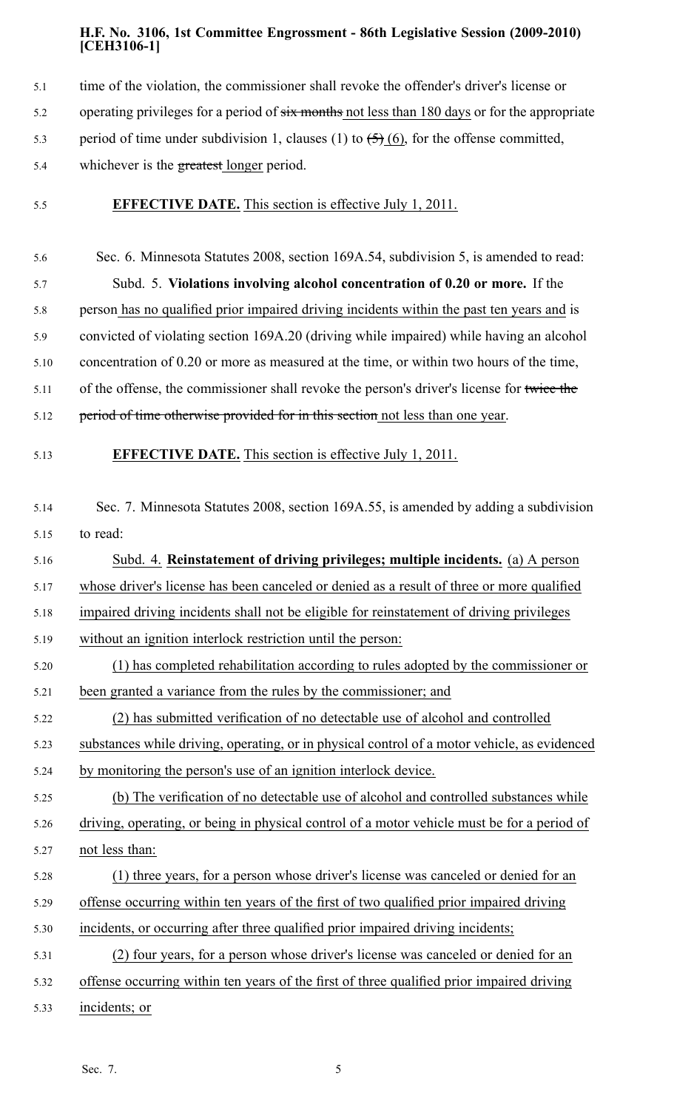- 5.1 time of the violation, the commissioner shall revoke the offender's driver's license or
- 5.2 operating privileges for a period of  $\frac{1}{x}$  months not less than 180 days or for the appropriate
- 5.3 period of time under subdivision 1, clauses (1) to  $\left( \frac{5}{2} \right)$  (6), for the offense committed,
- 5.4 whichever is the greatest longer period.
- 5.5 **EFFECTIVE DATE.** This section is effective July 1, 2011.

5.6 Sec. 6. Minnesota Statutes 2008, section 169A.54, subdivision 5, is amended to read: 5.7 Subd. 5. **Violations involving alcohol concentration of 0.20 or more.** If the 5.8 person has no qualified prior impaired driving incidents within the pas<sup>t</sup> ten years and is 5.9 convicted of violating section 169A.20 (driving while impaired) while having an alcohol 5.10 concentration of 0.20 or more as measured at the time, or within two hours of the time, 5.11 of the offense, the commissioner shall revoke the person's driver's license for twice the 5.12 period of time otherwise provided for in this section not less than one year.

- 5.13 **EFFECTIVE DATE.** This section is effective July 1, 2011.
- 5.14 Sec. 7. Minnesota Statutes 2008, section 169A.55, is amended by adding <sup>a</sup> subdivision 5.15 to read:

5.16 Subd. 4. **Reinstatement of driving privileges; multiple incidents.** (a) A person 5.17 whose driver's license has been canceled or denied as <sup>a</sup> result of three or more qualified 5.18 impaired driving incidents shall not be eligible for reinstatement of driving privileges

- 5.19 without an ignition interlock restriction until the person:
- 5.20 (1) has completed rehabilitation according to rules adopted by the commissioner or 5.21 been granted <sup>a</sup> variance from the rules by the commissioner; and
- 5.22 (2) has submitted verification of no detectable use of alcohol and controlled
- 5.23 substances while driving, operating, or in physical control of <sup>a</sup> motor vehicle, as evidenced

5.24 by monitoring the person's use of an ignition interlock device.

- 5.25 (b) The verification of no detectable use of alcohol and controlled substances while 5.26 driving, operating, or being in physical control of <sup>a</sup> motor vehicle must be for <sup>a</sup> period of 5.27 not less than:
- 5.28 (1) three years, for <sup>a</sup> person whose driver's license was canceled or denied for an
- 5.29 offense occurring within ten years of the first of two qualified prior impaired driving
- 5.30 incidents, or occurring after three qualified prior impaired driving incidents;
- 5.31 (2) four years, for <sup>a</sup> person whose driver's license was canceled or denied for an
- 5.32 offense occurring within ten years of the first of three qualified prior impaired driving
- 5.33 incidents; or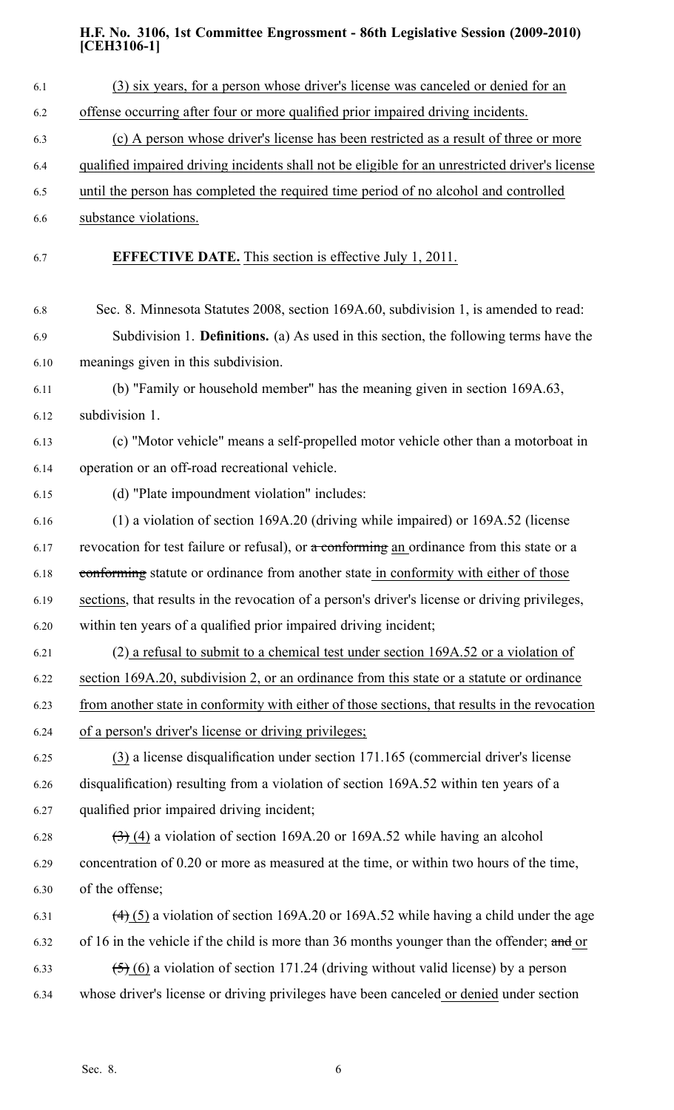| 6.1  | (3) six years, for a person whose driver's license was canceled or denied for an                         |
|------|----------------------------------------------------------------------------------------------------------|
| 6.2  | offense occurring after four or more qualified prior impaired driving incidents.                         |
| 6.3  | (c) A person whose driver's license has been restricted as a result of three or more                     |
| 6.4  | qualified impaired driving incidents shall not be eligible for an unrestricted driver's license          |
| 6.5  | until the person has completed the required time period of no alcohol and controlled                     |
| 6.6  | substance violations.                                                                                    |
| 6.7  | <b>EFFECTIVE DATE.</b> This section is effective July 1, 2011.                                           |
| 6.8  | Sec. 8. Minnesota Statutes 2008, section 169A.60, subdivision 1, is amended to read:                     |
| 6.9  | Subdivision 1. <b>Definitions.</b> (a) As used in this section, the following terms have the             |
| 6.10 | meanings given in this subdivision.                                                                      |
| 6.11 | (b) "Family or household member" has the meaning given in section 169A.63,                               |
| 6.12 | subdivision 1.                                                                                           |
| 6.13 | (c) "Motor vehicle" means a self-propelled motor vehicle other than a motorboat in                       |
| 6.14 | operation or an off-road recreational vehicle.                                                           |
| 6.15 | (d) "Plate impoundment violation" includes:                                                              |
| 6.16 | $(1)$ a violation of section 169A.20 (driving while impaired) or 169A.52 (license                        |
| 6.17 | revocation for test failure or refusal), or $\alpha$ conforming an ordinance from this state or a        |
| 6.18 | conforming statute or ordinance from another state in conformity with either of those                    |
| 6.19 | sections, that results in the revocation of a person's driver's license or driving privileges,           |
| 6.20 | within ten years of a qualified prior impaired driving incident;                                         |
| 6.21 | $(2)$ a refusal to submit to a chemical test under section 169A.52 or a violation of                     |
| 6.22 | section 169A.20, subdivision 2, or an ordinance from this state or a statute or ordinance                |
| 6.23 | from another state in conformity with either of those sections, that results in the revocation           |
| 6.24 | of a person's driver's license or driving privileges;                                                    |
| 6.25 | $(3)$ a license disqualification under section 171.165 (commercial driver's license                      |
| 6.26 | disqualification) resulting from a violation of section 169A.52 within ten years of a                    |
| 6.27 | qualified prior impaired driving incident;                                                               |
| 6.28 | $\left(\frac{1}{2}\right)$ (4) a violation of section 169A.20 or 169A.52 while having an alcohol         |
| 6.29 | concentration of 0.20 or more as measured at the time, or within two hours of the time,                  |
| 6.30 | of the offense;                                                                                          |
| 6.31 | $\left(\frac{4}{5}\right)$ a violation of section 169A.20 or 169A.52 while having a child under the age  |
| 6.32 | of 16 in the vehicle if the child is more than 36 months younger than the offender; and or               |
| 6.33 | $\left(\frac{5}{2}\right)$ (6) a violation of section 171.24 (driving without valid license) by a person |
| 6.34 | whose driver's license or driving privileges have been canceled or denied under section                  |
|      |                                                                                                          |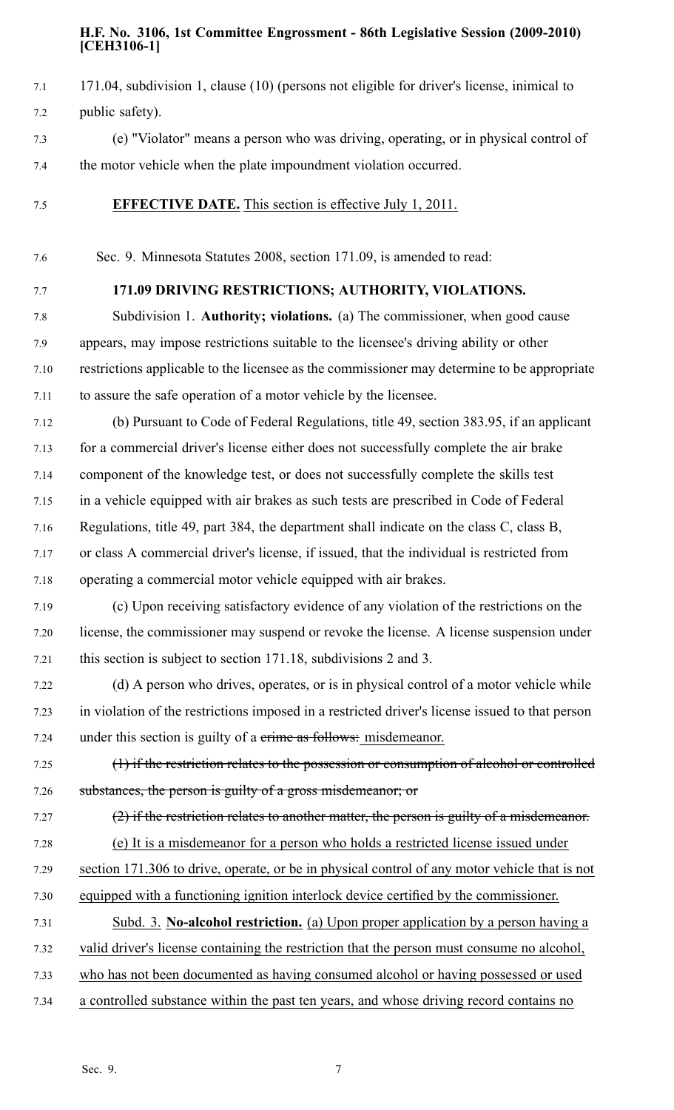- 7.1 171.04, subdivision 1, clause (10) (persons not eligible for driver's license, inimical to 7.2 public safety).
- 7.3 (e) "Violator" means <sup>a</sup> person who was driving, operating, or in physical control of 7.4 the motor vehicle when the plate impoundment violation occurred.
- 7.5 **EFFECTIVE DATE.** This section is effective July 1, 2011.
- 7.6 Sec. 9. Minnesota Statutes 2008, section 171.09, is amended to read:
- 

## 7.7 **171.09 DRIVING RESTRICTIONS; AUTHORITY, VIOLATIONS.**

7.8 Subdivision 1. **Authority; violations.** (a) The commissioner, when good cause 7.9 appears, may impose restrictions suitable to the licensee's driving ability or other 7.10 restrictions applicable to the licensee as the commissioner may determine to be appropriate 7.11 to assure the safe operation of <sup>a</sup> motor vehicle by the licensee.

7.12 (b) Pursuant to Code of Federal Regulations, title 49, section 383.95, if an applicant 7.13 for <sup>a</sup> commercial driver's license either does not successfully complete the air brake 7.14 componen<sup>t</sup> of the knowledge test, or does not successfully complete the skills test 7.15 in <sup>a</sup> vehicle equipped with air brakes as such tests are prescribed in Code of Federal 7.16 Regulations, title 49, par<sup>t</sup> 384, the department shall indicate on the class C, class B, 7.17 or class A commercial driver's license, if issued, that the individual is restricted from

7.18 operating <sup>a</sup> commercial motor vehicle equipped with air brakes.

7.19 (c) Upon receiving satisfactory evidence of any violation of the restrictions on the 7.20 license, the commissioner may suspend or revoke the license. A license suspension under 7.21 this section is subject to section 171.18, subdivisions 2 and 3.

7.22 (d) A person who drives, operates, or is in physical control of <sup>a</sup> motor vehicle while 7.23 in violation of the restrictions imposed in <sup>a</sup> restricted driver's license issued to that person 7.24 under this section is guilty of a crime as follows: misdemeanor.

7.25 (1) if the restriction relates to the possession or consumption of alcohol or controlled 7.26 substances, the person is guilty of a gross misdemeanor; or

- 7.27 (2) if the restriction relates to another matter, the person is guilty of a misdemeanor. 7.28 (e) It is <sup>a</sup> misdemeanor for <sup>a</sup> person who holds <sup>a</sup> restricted license issued under 7.29 section 171.306 to drive, operate, or be in physical control of any motor vehicle that is not 7.30 equipped with <sup>a</sup> functioning ignition interlock device certified by the commissioner.
- 7.31 Subd. 3. **No-alcohol restriction.** (a) Upon proper application by <sup>a</sup> person having <sup>a</sup>
- 7.32 valid driver's license containing the restriction that the person must consume no alcohol,
- 7.33 who has not been documented as having consumed alcohol or having possessed or used
- 7.34 <sup>a</sup> controlled substance within the pas<sup>t</sup> ten years, and whose driving record contains no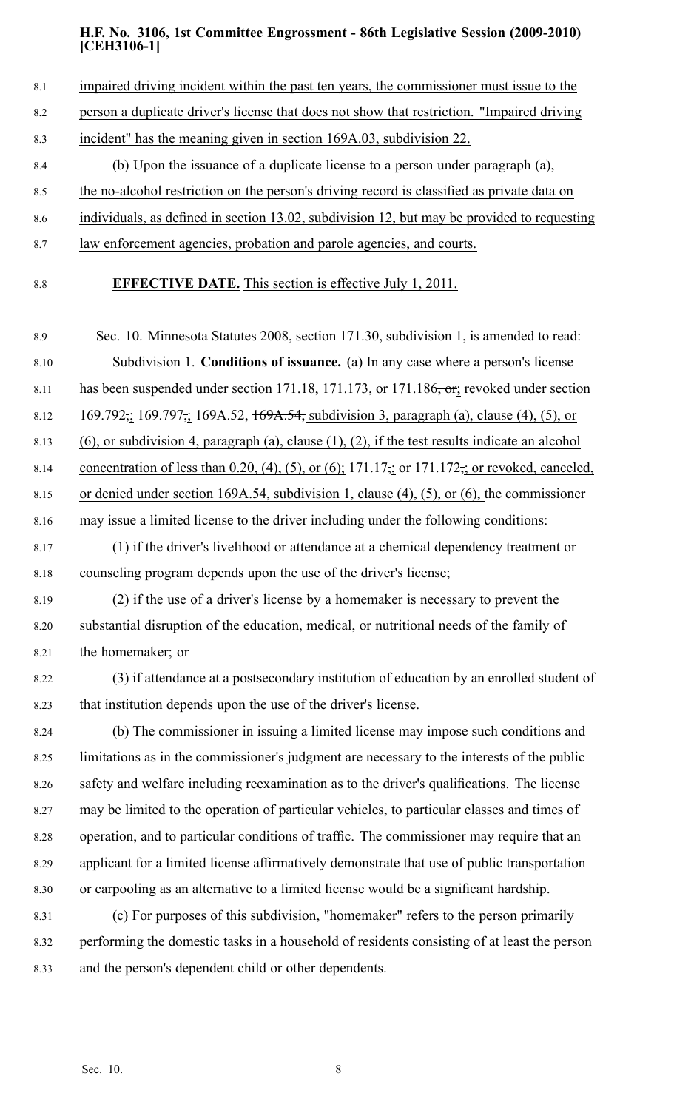- 8.1 impaired driving incident within the past ten years, the commissioner must issue to the
- 8.2 person <sup>a</sup> duplicate driver's license that does not show that restriction. "Impaired driving
- 8.3 incident" has the meaning given in section 169A.03, subdivision 22.
- 8.4 (b) Upon the issuance of <sup>a</sup> duplicate license to <sup>a</sup> person under paragraph (a),
- 8.5 the no-alcohol restriction on the person's driving record is classified as private data on
- 8.6 individuals, as defined in section 13.02, subdivision 12, but may be provided to requesting
- 8.7 law enforcement agencies, probation and parole agencies, and courts.
- 

8.8 **EFFECTIVE DATE.** This section is effective July 1, 2011.

8.9 Sec. 10. Minnesota Statutes 2008, section 171.30, subdivision 1, is amended to read: 8.10 Subdivision 1. **Conditions of issuance.** (a) In any case where <sup>a</sup> person's license 8.11 has been suspended under section 171.18, 171.173, or 171.186, or; revoked under section 8.12 169.792, 169.797, 169A.52,  $\frac{169A.54}{169A.54}$ , subdivision 3, paragraph (a), clause (4), (5), or 8.13 (6), or subdivision 4, paragraph (a), clause (1), (2), if the test results indicate an alcohol 8.14 concentration of less than 0.20, (4), (5), or (6);  $171.17\frac{1}{2}$ ; or 171.172, or revoked, canceled, 8.15 or denied under section 169A.54, subdivision 1, clause (4), (5), or (6), the commissioner 8.16 may issue <sup>a</sup> limited license to the driver including under the following conditions:

- 8.17 (1) if the driver's livelihood or attendance at <sup>a</sup> chemical dependency treatment or 8.18 counseling program depends upon the use of the driver's license;
- 8.19 (2) if the use of <sup>a</sup> driver's license by <sup>a</sup> homemaker is necessary to preven<sup>t</sup> the 8.20 substantial disruption of the education, medical, or nutritional needs of the family of 8.21 the homemaker; or
- 8.22 (3) if attendance at <sup>a</sup> postsecondary institution of education by an enrolled student of 8.23 that institution depends upon the use of the driver's license.

8.24 (b) The commissioner in issuing <sup>a</sup> limited license may impose such conditions and 8.25 limitations as in the commissioner's judgment are necessary to the interests of the public 8.26 safety and welfare including reexamination as to the driver's qualifications. The license 8.27 may be limited to the operation of particular vehicles, to particular classes and times of 8.28 operation, and to particular conditions of traffic. The commissioner may require that an 8.29 applicant for <sup>a</sup> limited license affirmatively demonstrate that use of public transportation 8.30 or carpooling as an alternative to <sup>a</sup> limited license would be <sup>a</sup> significant hardship.

8.31 (c) For purposes of this subdivision, "homemaker" refers to the person primarily 8.32 performing the domestic tasks in <sup>a</sup> household of residents consisting of at least the person 8.33 and the person's dependent child or other dependents.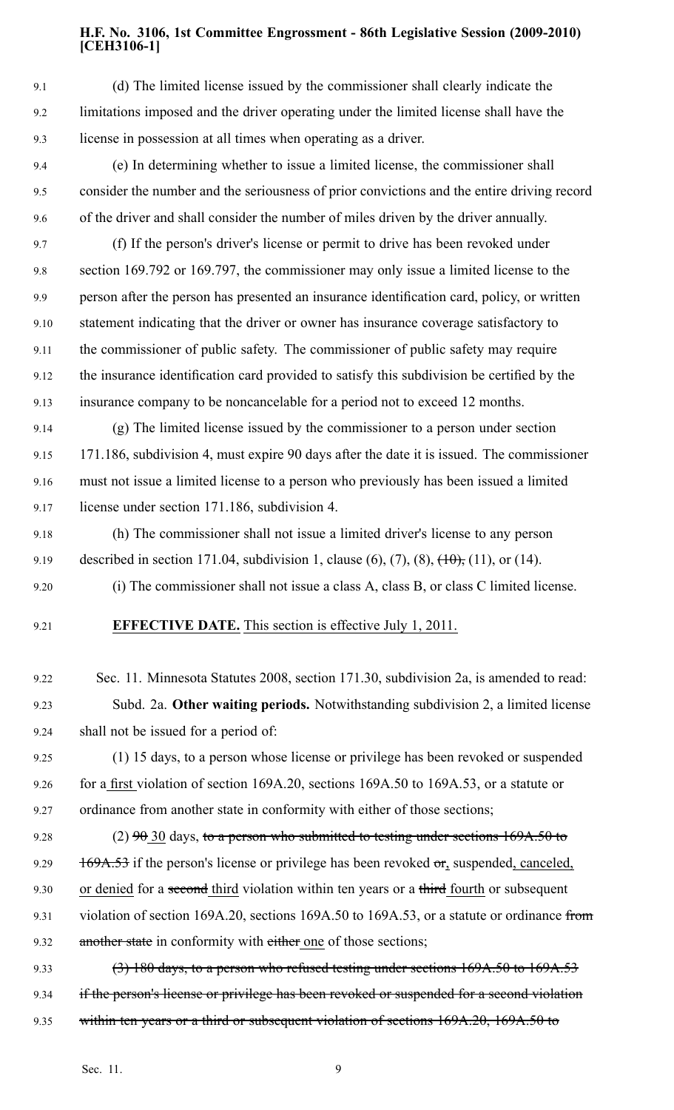9.1 (d) The limited license issued by the commissioner shall clearly indicate the 9.2 limitations imposed and the driver operating under the limited license shall have the 9.3 license in possession at all times when operating as <sup>a</sup> driver.

- 9.4 (e) In determining whether to issue <sup>a</sup> limited license, the commissioner shall 9.5 consider the number and the seriousness of prior convictions and the entire driving record 9.6 of the driver and shall consider the number of miles driven by the driver annually.
- 9.7 (f) If the person's driver's license or permit to drive has been revoked under 9.8 section 169.792 or 169.797, the commissioner may only issue <sup>a</sup> limited license to the 9.9 person after the person has presented an insurance identification card, policy, or written 9.10 statement indicating that the driver or owner has insurance coverage satisfactory to 9.11 the commissioner of public safety. The commissioner of public safety may require 9.12 the insurance identification card provided to satisfy this subdivision be certified by the 9.13 insurance company to be noncancelable for <sup>a</sup> period not to exceed 12 months.

9.14 (g) The limited license issued by the commissioner to <sup>a</sup> person under section 9.15 171.186, subdivision 4, must expire 90 days after the date it is issued. The commissioner 9.16 must not issue <sup>a</sup> limited license to <sup>a</sup> person who previously has been issued <sup>a</sup> limited 9.17 license under section 171.186, subdivision 4.

- 9.18 (h) The commissioner shall not issue <sup>a</sup> limited driver's license to any person 9.19 described in section 171.04, subdivision 1, clause  $(6)$ ,  $(7)$ ,  $(8)$ ,  $(10)$ ,  $(11)$ , or  $(14)$ .
- 9.20 (i) The commissioner shall not issue <sup>a</sup> class A, class B, or class C limited license.
- 

9.21 **EFFECTIVE DATE.** This section is effective July 1, 2011.

- 9.22 Sec. 11. Minnesota Statutes 2008, section 171.30, subdivision 2a, is amended to read: 9.23 Subd. 2a. **Other waiting periods.** Notwithstanding subdivision 2, <sup>a</sup> limited license 9.24 shall not be issued for <sup>a</sup> period of:
- 9.25 (1) 15 days, to <sup>a</sup> person whose license or privilege has been revoked or suspended 9.26 for <sup>a</sup> first violation of section 169A.20, sections 169A.50 to 169A.53, or <sup>a</sup> statute or 9.27 ordinance from another state in conformity with either of those sections;
- 9.28 (2)  $90\,30$  days, to a person who submitted to testing under sections  $169A.50$  to 9.29  $169A.53$  if the person's license or privilege has been revoked  $\sigma$ r, suspended, canceled, 9.30 or denied for a second third violation within ten years or a third fourth or subsequent
- 9.31 violation of section 169A.20, sections 169A.50 to 169A.53, or a statute or ordinance from 9.32 another state in conformity with either one of those sections;
- 9.33 (3) 180 days, to a person who refused testing under sections 169A.50 to 169A.53 9.34 if the person's license or privilege has been revoked or suspended for a second violation 9.35 within ten years or a third or subsequent violation of sections 169A.20, 169A.50 to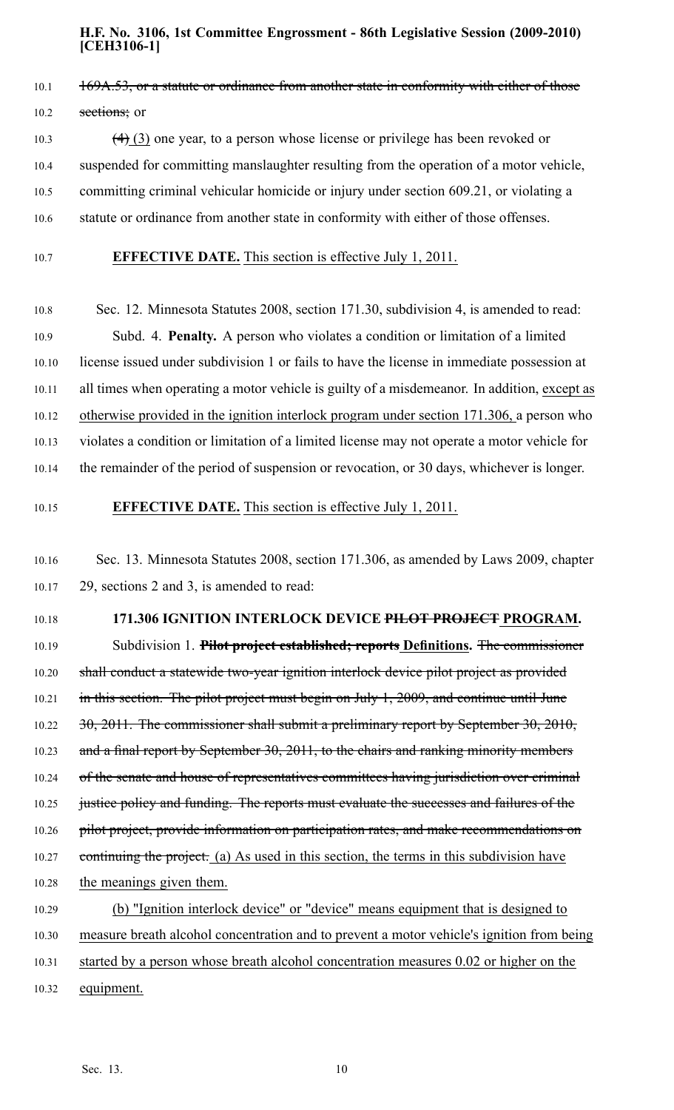# 10.1 169A.53, or a statute or ordinance from another state in conformity with either of those 10.2 sections; or

10.3  $(4)$  (3) one year, to a person whose license or privilege has been revoked or 10.4 suspended for committing manslaughter resulting from the operation of <sup>a</sup> motor vehicle, 10.5 committing criminal vehicular homicide or injury under section 609.21, or violating <sup>a</sup> 10.6 statute or ordinance from another state in conformity with either of those offenses.

## 10.7 **EFFECTIVE DATE.** This section is effective July 1, 2011.

10.8 Sec. 12. Minnesota Statutes 2008, section 171.30, subdivision 4, is amended to read: 10.9 Subd. 4. **Penalty.** A person who violates <sup>a</sup> condition or limitation of <sup>a</sup> limited 10.10 license issued under subdivision 1 or fails to have the license in immediate possession at 10.11 all times when operating <sup>a</sup> motor vehicle is guilty of <sup>a</sup> misdemeanor. In addition, excep<sup>t</sup> as 10.12 otherwise provided in the ignition interlock program under section 171.306, <sup>a</sup> person who 10.13 violates <sup>a</sup> condition or limitation of <sup>a</sup> limited license may not operate <sup>a</sup> motor vehicle for 10.14 the remainder of the period of suspension or revocation, or 30 days, whichever is longer.

## 10.15 **EFFECTIVE DATE.** This section is effective July 1, 2011.

## 10.16 Sec. 13. Minnesota Statutes 2008, section 171.306, as amended by Laws 2009, chapter 10.17 29, sections 2 and 3, is amended to read:

#### 10.18 **171.306 IGNITION INTERLOCK DEVICE PILOT PROJECT PROGRAM.**

10.19 Subdivision 1. **Pilot project established; reports Definitions.** The commissioner 10.20 shall conduct a statewide two-year ignition interlock device pilot project as provided 10.21 in this section. The pilot project must begin on July 1, 2009, and continue until June 10.22 30, 2011. The commissioner shall submit a preliminary report by September 30, 2010, 10.23 and a final report by September 30, 2011, to the chairs and ranking minority members 10.24 of the senate and house of representatives committees having jurisdiction over criminal 10.25 justice policy and funding. The reports must evaluate the successes and failures of the 10.26 pilot project, provide information on participation rates, and make recommendations on 10.27 continuing the project. (a) As used in this section, the terms in this subdivision have 10.28 the meanings given them. 10.29 (b) "Ignition interlock device" or "device" means equipment that is designed to 10.30 measure breath alcohol concentration and to preven<sup>t</sup> <sup>a</sup> motor vehicle's ignition from being 10.31 started by <sup>a</sup> person whose breath alcohol concentration measures 0.02 or higher on the

10.32 equipment.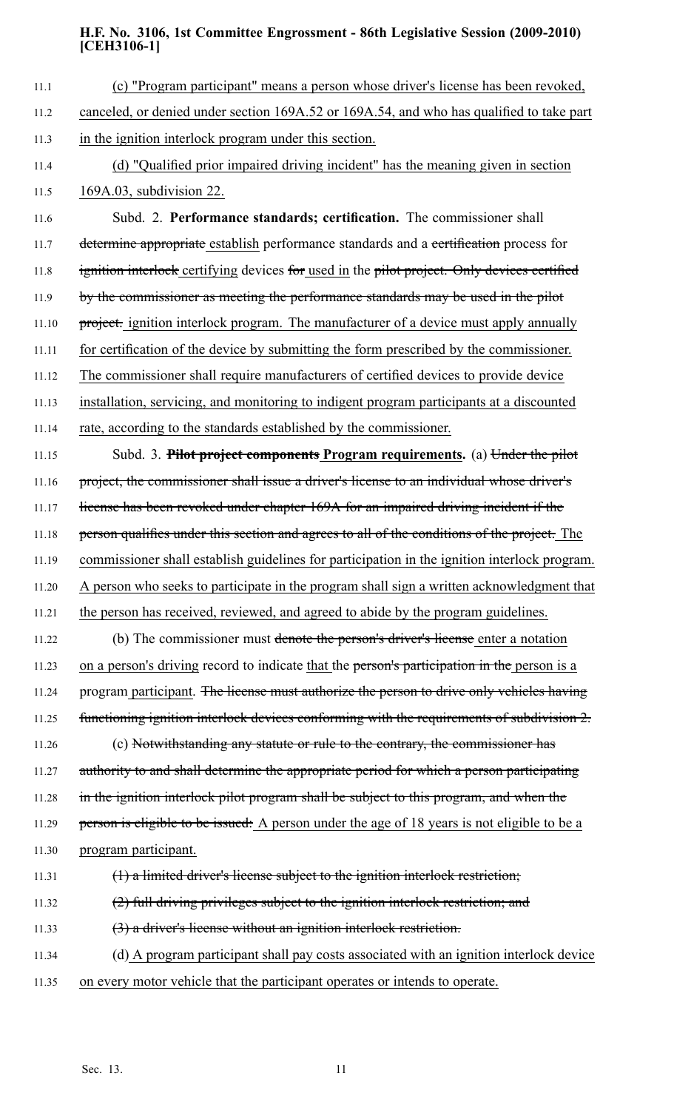| 11.1  | (c) "Program participant" means a person whose driver's license has been revoked,            |
|-------|----------------------------------------------------------------------------------------------|
| 11.2  | canceled, or denied under section 169A.52 or 169A.54, and who has qualified to take part     |
| 11.3  | in the ignition interlock program under this section.                                        |
| 11.4  | (d) "Qualified prior impaired driving incident" has the meaning given in section             |
| 11.5  | 169A.03, subdivision 22.                                                                     |
| 11.6  | Subd. 2. Performance standards; certification. The commissioner shall                        |
| 11.7  | determine appropriate establish performance standards and a certification process for        |
| 11.8  | ignition interlock certifying devices for used in the pilot project. Only devices certified  |
| 11.9  | by the commissioner as meeting the performance standards may be used in the pilot            |
| 11.10 | project. ignition interlock program. The manufacturer of a device must apply annually        |
| 11.11 | for certification of the device by submitting the form prescribed by the commissioner.       |
| 11.12 | The commissioner shall require manufacturers of certified devices to provide device          |
| 11.13 | installation, servicing, and monitoring to indigent program participants at a discounted     |
| 11.14 | rate, according to the standards established by the commissioner.                            |
| 11.15 | Subd. 3. Pilot project components Program requirements. (a) Under the pilot                  |
| 11.16 | project, the commissioner shall issue a driver's license to an individual whose driver's     |
| 11.17 | license has been revoked under chapter 169A for an impaired driving incident if the          |
| 11.18 | person qualifies under this section and agrees to all of the conditions of the project. The  |
| 11.19 | commissioner shall establish guidelines for participation in the ignition interlock program. |
| 11.20 | A person who seeks to participate in the program shall sign a written acknowledgment that    |
| 11.21 | the person has received, reviewed, and agreed to abide by the program guidelines.            |
| 11.22 | (b) The commissioner must denote the person's driver's license enter a notation              |
| 11.23 | on a person's driving record to indicate that the person's participation in the person is a  |
| 11.24 | program participant. The license must authorize the person to drive only vehicles having     |
| 11.25 | functioning ignition interlock devices conforming with the requirements of subdivision 2.    |
| 11.26 | (c) Notwithstanding any statute or rule to the contrary, the commissioner has                |
| 11.27 | authority to and shall determine the appropriate period for which a person participating     |
| 11.28 | in the ignition interlock pilot program shall be subject to this program, and when the       |
| 11.29 | person is eligible to be issued: A person under the age of 18 years is not eligible to be a  |
| 11.30 | program participant.                                                                         |
| 11.31 | $(1)$ a limited driver's license subject to the ignition interlock restriction;              |
| 11.32 | (2) full driving privileges subject to the ignition interlock restriction; and               |
| 11.33 | $(3)$ a driver's license without an ignition interlock restriction.                          |
| 11.34 | (d) A program participant shall pay costs associated with an ignition interlock device       |
| 11.35 | on every motor vehicle that the participant operates or intends to operate.                  |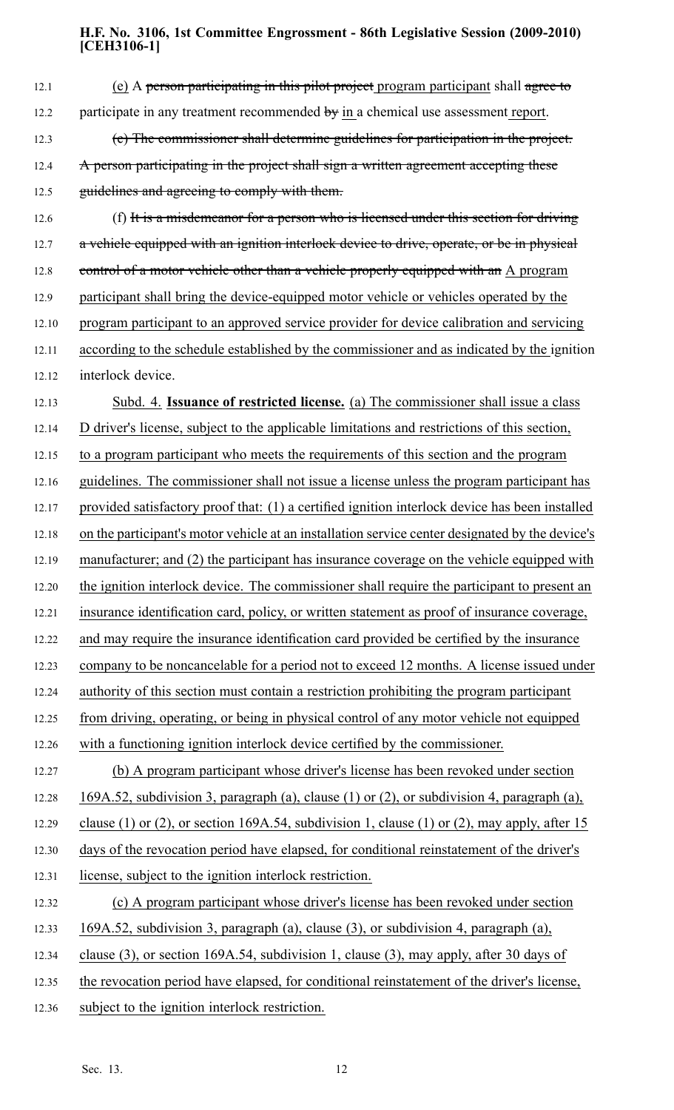| 12.1  | (e) A person participating in this pilot project program participant shall agree to             |
|-------|-------------------------------------------------------------------------------------------------|
| 12.2  | participate in any treatment recommended $\overline{by}$ in a chemical use assessment report.   |
| 12.3  | (e) The commissioner shall determine guidelines for participation in the project.               |
| 12.4  | A person participating in the project shall sign a written agreement accepting these            |
| 12.5  | guidelines and agreeing to comply with them.                                                    |
| 12.6  | (f) It is a misdemeanor for a person who is licensed under this section for driving             |
| 12.7  | a vehicle equipped with an ignition interlock device to drive, operate, or be in physical       |
| 12.8  | control of a motor vehicle other than a vehicle properly equipped with an A program             |
| 12.9  | participant shall bring the device-equipped motor vehicle or vehicles operated by the           |
| 12.10 | program participant to an approved service provider for device calibration and servicing        |
| 12.11 | according to the schedule established by the commissioner and as indicated by the ignition      |
| 12.12 | interlock device.                                                                               |
| 12.13 | Subd. 4. <b>Issuance of restricted license.</b> (a) The commissioner shall issue a class        |
| 12.14 | D driver's license, subject to the applicable limitations and restrictions of this section,     |
| 12.15 | to a program participant who meets the requirements of this section and the program             |
| 12.16 | guidelines. The commissioner shall not issue a license unless the program participant has       |
| 12.17 | provided satisfactory proof that: (1) a certified ignition interlock device has been installed  |
| 12.18 | on the participant's motor vehicle at an installation service center designated by the device's |
| 12.19 | manufacturer; and (2) the participant has insurance coverage on the vehicle equipped with       |
| 12.20 | the ignition interlock device. The commissioner shall require the participant to present an     |
| 12.21 | insurance identification card, policy, or written statement as proof of insurance coverage,     |
| 12.22 | and may require the insurance identification card provided be certified by the insurance        |
| 12.23 | company to be noncancelable for a period not to exceed 12 months. A license issued under        |
| 12.24 | authority of this section must contain a restriction prohibiting the program participant        |
| 12.25 | from driving, operating, or being in physical control of any motor vehicle not equipped         |
| 12.26 | with a functioning ignition interlock device certified by the commissioner.                     |
| 12.27 | (b) A program participant whose driver's license has been revoked under section                 |
| 12.28 | 169A.52, subdivision 3, paragraph (a), clause (1) or (2), or subdivision 4, paragraph (a),      |
| 12.29 | clause (1) or (2), or section 169A.54, subdivision 1, clause (1) or (2), may apply, after 15    |
| 12.30 | days of the revocation period have elapsed, for conditional reinstatement of the driver's       |
| 12.31 | license, subject to the ignition interlock restriction.                                         |
| 12.32 | (c) A program participant whose driver's license has been revoked under section                 |
| 12.33 | 169A.52, subdivision 3, paragraph (a), clause (3), or subdivision 4, paragraph (a),             |
| 12.34 | clause (3), or section $169A.54$ , subdivision 1, clause (3), may apply, after 30 days of       |
| 12.35 | the revocation period have elapsed, for conditional reinstatement of the driver's license,      |
| 12.36 | subject to the ignition interlock restriction.                                                  |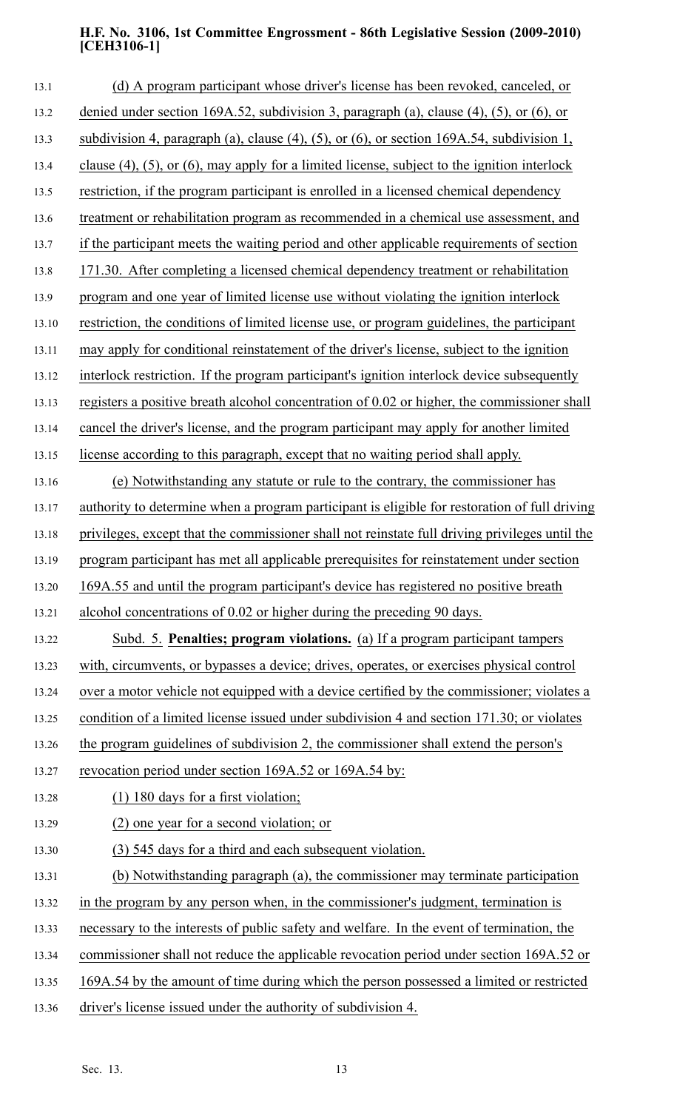| 13.1  | (d) A program participant whose driver's license has been revoked, canceled, or                      |
|-------|------------------------------------------------------------------------------------------------------|
| 13.2  | denied under section 169A.52, subdivision 3, paragraph (a), clause $(4)$ , $(5)$ , or $(6)$ , or     |
| 13.3  | subdivision 4, paragraph (a), clause (4), (5), or (6), or section $169A.54$ , subdivision 1,         |
| 13.4  | clause $(4)$ , $(5)$ , or $(6)$ , may apply for a limited license, subject to the ignition interlock |
| 13.5  | restriction, if the program participant is enrolled in a licensed chemical dependency                |
| 13.6  | treatment or rehabilitation program as recommended in a chemical use assessment, and                 |
| 13.7  | if the participant meets the waiting period and other applicable requirements of section             |
| 13.8  | 171.30. After completing a licensed chemical dependency treatment or rehabilitation                  |
| 13.9  | program and one year of limited license use without violating the ignition interlock                 |
| 13.10 | restriction, the conditions of limited license use, or program guidelines, the participant           |
| 13.11 | may apply for conditional reinstatement of the driver's license, subject to the ignition             |
| 13.12 | interlock restriction. If the program participant's ignition interlock device subsequently           |
| 13.13 | registers a positive breath alcohol concentration of 0.02 or higher, the commissioner shall          |
| 13.14 | cancel the driver's license, and the program participant may apply for another limited               |
| 13.15 | license according to this paragraph, except that no waiting period shall apply.                      |
| 13.16 | (e) Notwithstanding any statute or rule to the contrary, the commissioner has                        |
| 13.17 | authority to determine when a program participant is eligible for restoration of full driving        |
| 13.18 | privileges, except that the commissioner shall not reinstate full driving privileges until the       |
| 13.19 | program participant has met all applicable prerequisites for reinstatement under section             |
| 13.20 | 169A.55 and until the program participant's device has registered no positive breath                 |
| 13.21 | alcohol concentrations of 0.02 or higher during the preceding 90 days.                               |
| 13.22 | Subd. 5. Penalties; program violations. (a) If a program participant tampers                         |
| 13.23 | with, circumvents, or bypasses a device; drives, operates, or exercises physical control             |
| 13.24 | over a motor vehicle not equipped with a device certified by the commissioner; violates a            |
| 13.25 | condition of a limited license issued under subdivision 4 and section 171.30; or violates            |
| 13.26 | the program guidelines of subdivision 2, the commissioner shall extend the person's                  |
| 13.27 | revocation period under section 169A.52 or 169A.54 by:                                               |
| 13.28 | $(1)$ 180 days for a first violation;                                                                |
| 13.29 | (2) one year for a second violation; or                                                              |
| 13.30 | (3) 545 days for a third and each subsequent violation.                                              |
| 13.31 | (b) Notwithstanding paragraph (a), the commissioner may terminate participation                      |
| 13.32 | in the program by any person when, in the commissioner's judgment, termination is                    |
| 13.33 | necessary to the interests of public safety and welfare. In the event of termination, the            |
| 13.34 | commissioner shall not reduce the applicable revocation period under section 169A.52 or              |
| 13.35 | 169A.54 by the amount of time during which the person possessed a limited or restricted              |
| 13.36 | driver's license issued under the authority of subdivision 4.                                        |
|       |                                                                                                      |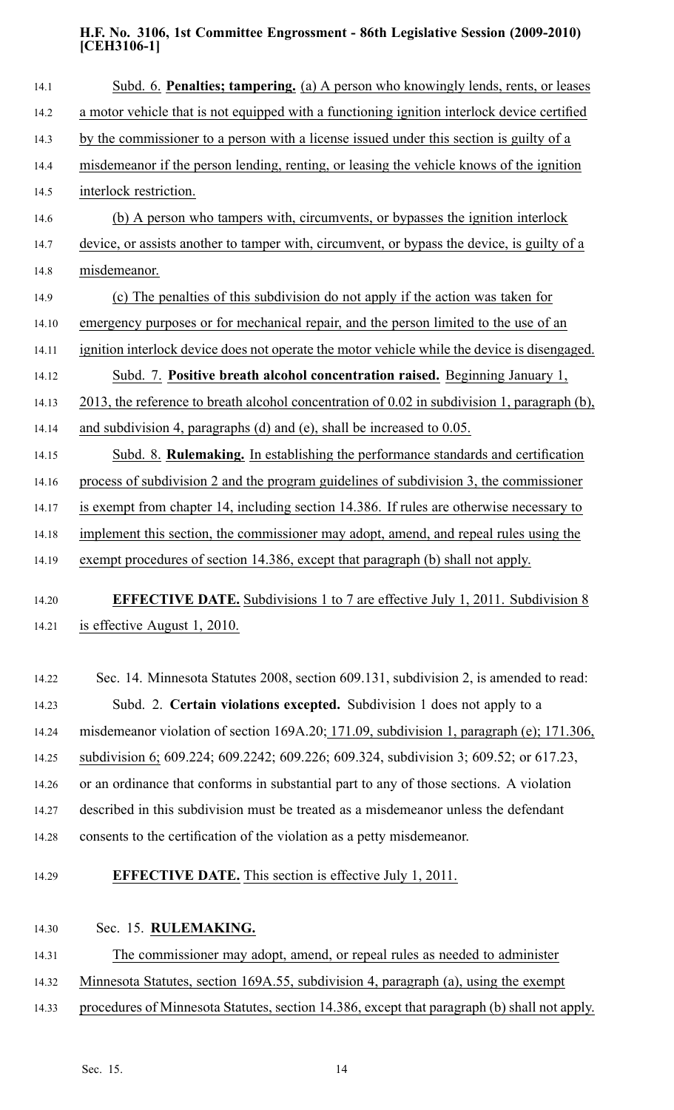| Subd. 6. Penalties; tampering. (a) A person who knowingly lends, rents, or leases            |
|----------------------------------------------------------------------------------------------|
| a motor vehicle that is not equipped with a functioning ignition interlock device certified  |
| by the commissioner to a person with a license issued under this section is guilty of a      |
| misdemeanor if the person lending, renting, or leasing the vehicle knows of the ignition     |
| interlock restriction.                                                                       |
| (b) A person who tampers with, circumvents, or bypasses the ignition interlock               |
| device, or assists another to tamper with, circumvent, or bypass the device, is guilty of a  |
| misdemeanor.                                                                                 |
| (c) The penalties of this subdivision do not apply if the action was taken for               |
| emergency purposes or for mechanical repair, and the person limited to the use of an         |
| ignition interlock device does not operate the motor vehicle while the device is disengaged. |
| Subd. 7. Positive breath alcohol concentration raised. Beginning January 1,                  |
| 2013, the reference to breath alcohol concentration of 0.02 in subdivision 1, paragraph (b). |
| and subdivision 4, paragraphs (d) and (e), shall be increased to $0.05$ .                    |
| Subd. 8. Rulemaking. In establishing the performance standards and certification             |
| process of subdivision 2 and the program guidelines of subdivision 3, the commissioner       |
| is exempt from chapter 14, including section 14.386. If rules are otherwise necessary to     |
| implement this section, the commissioner may adopt, amend, and repeal rules using the        |
| exempt procedures of section 14.386, except that paragraph (b) shall not apply.              |
| <b>EFFECTIVE DATE.</b> Subdivisions 1 to 7 are effective July 1, 2011. Subdivision 8         |
| is effective August 1, 2010.                                                                 |
|                                                                                              |
|                                                                                              |

14.22 Sec. 14. Minnesota Statutes 2008, section 609.131, subdivision 2, is amended to read: 14.23 Subd. 2. **Certain violations excepted.** Subdivision 1 does not apply to <sup>a</sup> 14.24 misdemeanor violation of section 169A.20; 171.09, subdivision 1, paragraph (e); 171.306, 14.25 subdivision 6; 609.224; 609.2242; 609.226; 609.324, subdivision 3; 609.52; or 617.23, 14.26 or an ordinance that conforms in substantial par<sup>t</sup> to any of those sections. A violation 14.27 described in this subdivision must be treated as <sup>a</sup> misdemeanor unless the defendant 14.28 consents to the certification of the violation as <sup>a</sup> petty misdemeanor.

14.29 **EFFECTIVE DATE.** This section is effective July 1, 2011.

14.30 Sec. 15. **RULEMAKING.**

14.31 The commissioner may adopt, amend, or repeal rules as needed to administer

- 14.32 Minnesota Statutes, section 169A.55, subdivision 4, paragraph (a), using the exemp<sup>t</sup>
- 14.33 procedures of Minnesota Statutes, section 14.386, excep<sup>t</sup> that paragraph (b) shall not apply.